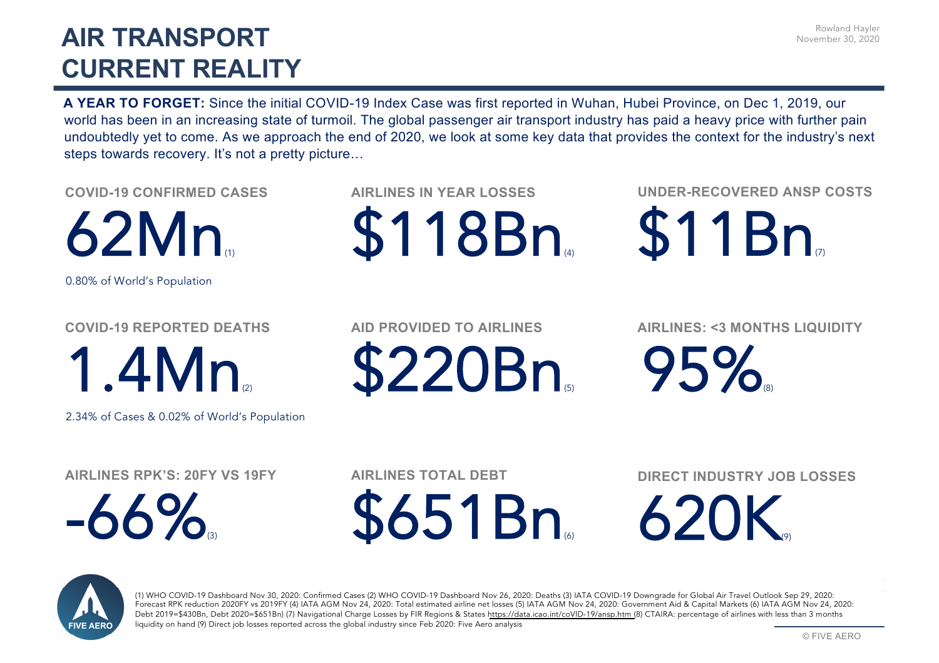## **AIR TRANSPORT CURRENT REALITY**

Rowland Hayler November 30, 2020

**A YEAR TO FORGET:** Since the initial COVID-19 Index Case was first reported in Wuhan, Hubei Province, on Dec 1, 2019, our world has been in an increasing state of turmoil. The global passenger air transport industry has paid a heavy price with further pain undoubtedly yet to come. As we approach the end of 2020, we look at some key data that provides the context for the industry's next steps towards recovery. It's not a pretty picture...

**COVID-19 CONFIRMED CASES**

 $62Mn$ 

0.80% of World's Population

**COVID-19 REPORTED DEATHS**

1.4Mn(2)

2.34% of Cases & 0.02% of World's Population

**AIRLINES RPK'S: 20FY VS 19FY**

 $-66\%$ 

**AIRLINES IN YEAR LOSSES** 

\$118Bn

**UNDER-RECOVERED ANSP COSTS**

\$11Bn

**AID PROVIDED TO AIRLINES**

\$220Bn

**AIRLINES: <3 MONTHS LIQUIDITY**

95%

**AIRLINES TOTAL DEBT**

**\$651Bn** 

**DIRECT INDUSTRY JOB LOSSES**

620K



(1) WHO COVID-19 Dashboard Nov 30, 2020: Confirmed Cases (2) WHO COVID-19 Dashboard Nov 26, 2020: Deaths (3) IATA COVID-19 Downgrade for Global Air Travel Outlook Sep 29, 2020: Forecast RPK reduction 2020FY vs 2019FY (4) IATA AGM Nov 24, 2020: Total estimated airline net losses (5) IATA AGM Nov 24, 2020: Government Aid & Capital Markets (6) IATA AGM Nov 24, 2020: Debt 2019=\$430Bn, Debt 2020=\$651Bn) (7) Navigational Charge Losses by FIR Re[gions & States https://data.icao.int/coVID](https://data.icao.int/coVID-19/ansp.htm)-19/ansp.htm (8) CTAIRA: percentage of airlines with less than 3 months liquidity on hand (9) Direct job losses reported across the global industry since Feb 2020: Five Aero analysis